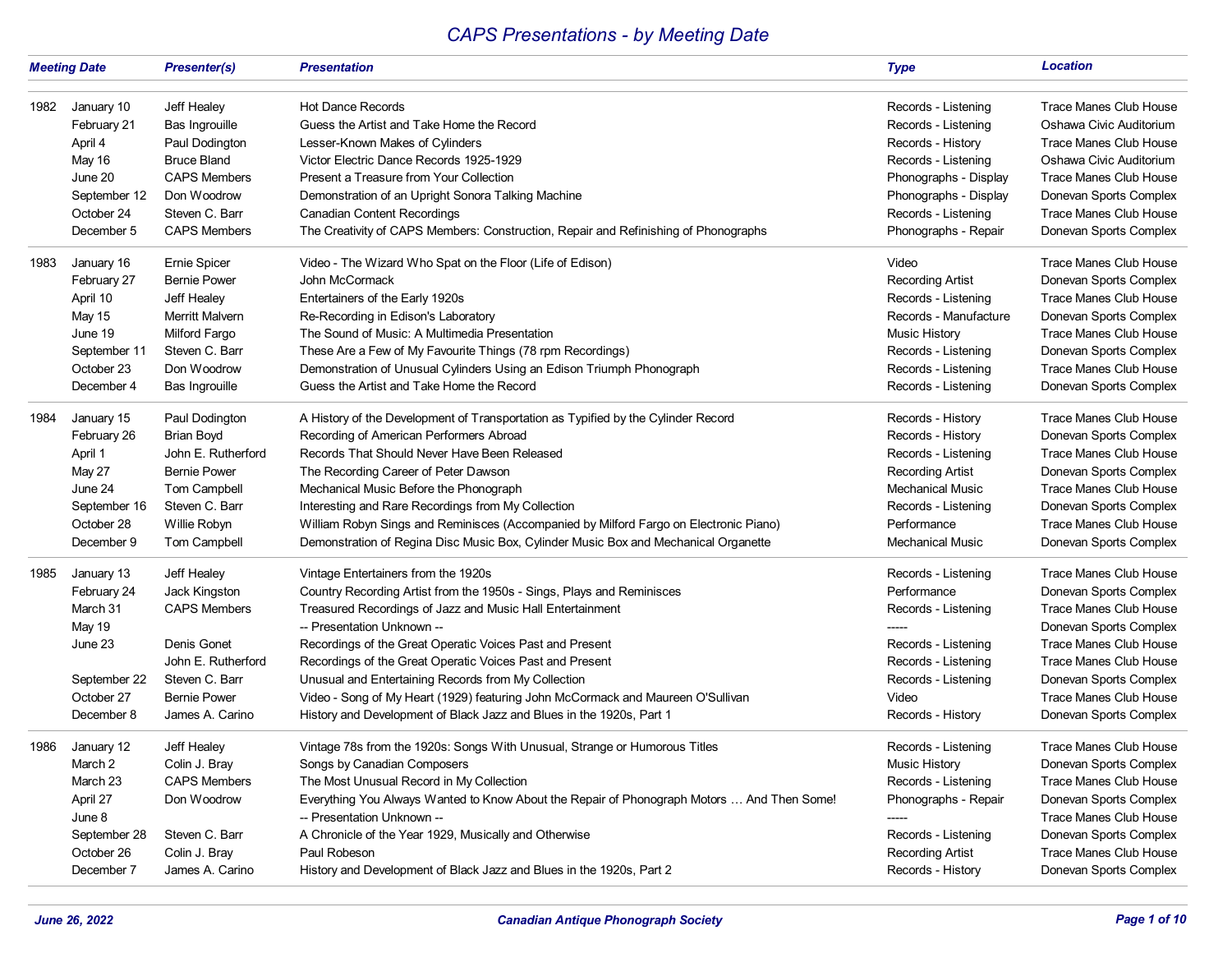## *CAPS Presentations - by Meeting Date*

|      | <b>Meeting Date</b>                                                                                    | <b>Presenter(s)</b>                                                                                                                                  | <b>Presentation</b>                                                                                                                                                                                                                                                                                                                                                                                                                                                                                                                               | <b>Type</b>                                                                                                                                                           | <b>Location</b>                                                                                                                                                                                                                                      |
|------|--------------------------------------------------------------------------------------------------------|------------------------------------------------------------------------------------------------------------------------------------------------------|---------------------------------------------------------------------------------------------------------------------------------------------------------------------------------------------------------------------------------------------------------------------------------------------------------------------------------------------------------------------------------------------------------------------------------------------------------------------------------------------------------------------------------------------------|-----------------------------------------------------------------------------------------------------------------------------------------------------------------------|------------------------------------------------------------------------------------------------------------------------------------------------------------------------------------------------------------------------------------------------------|
| 1982 | January 10                                                                                             | Jeff Healey                                                                                                                                          | <b>Hot Dance Records</b>                                                                                                                                                                                                                                                                                                                                                                                                                                                                                                                          | Records - Listening                                                                                                                                                   | <b>Trace Manes Club House</b>                                                                                                                                                                                                                        |
|      | February 21                                                                                            | Bas Ingrouille                                                                                                                                       | Guess the Artist and Take Home the Record                                                                                                                                                                                                                                                                                                                                                                                                                                                                                                         | Records - Listening                                                                                                                                                   | Oshawa Civic Auditorium                                                                                                                                                                                                                              |
|      | April 4                                                                                                | Paul Dodington                                                                                                                                       | Lesser-Known Makes of Cylinders                                                                                                                                                                                                                                                                                                                                                                                                                                                                                                                   | Records - History                                                                                                                                                     | Trace Manes Club House                                                                                                                                                                                                                               |
|      | May 16                                                                                                 | <b>Bruce Bland</b>                                                                                                                                   | Victor Electric Dance Records 1925-1929                                                                                                                                                                                                                                                                                                                                                                                                                                                                                                           | Records - Listening                                                                                                                                                   | Oshawa Civic Auditorium                                                                                                                                                                                                                              |
|      | June 20                                                                                                | <b>CAPS Members</b>                                                                                                                                  | Present a Treasure from Your Collection                                                                                                                                                                                                                                                                                                                                                                                                                                                                                                           | Phonographs - Display                                                                                                                                                 | <b>Trace Manes Club House</b>                                                                                                                                                                                                                        |
|      | September 12                                                                                           | Don Woodrow                                                                                                                                          | Demonstration of an Upright Sonora Talking Machine                                                                                                                                                                                                                                                                                                                                                                                                                                                                                                | Phonographs - Display                                                                                                                                                 | Donevan Sports Complex                                                                                                                                                                                                                               |
|      | October 24                                                                                             | Steven C. Barr                                                                                                                                       | <b>Canadian Content Recordings</b>                                                                                                                                                                                                                                                                                                                                                                                                                                                                                                                | Records - Listening                                                                                                                                                   | Trace Manes Club House                                                                                                                                                                                                                               |
|      | December 5                                                                                             | <b>CAPS Members</b>                                                                                                                                  | The Creativity of CAPS Members: Construction, Repair and Refinishing of Phonographs                                                                                                                                                                                                                                                                                                                                                                                                                                                               | Phonographs - Repair                                                                                                                                                  | Donevan Sports Complex                                                                                                                                                                                                                               |
| 1983 | January 16                                                                                             | Ernie Spicer                                                                                                                                         | Video - The Wizard Who Spat on the Floor (Life of Edison)                                                                                                                                                                                                                                                                                                                                                                                                                                                                                         | Video                                                                                                                                                                 | Trace Manes Club House                                                                                                                                                                                                                               |
|      | February 27                                                                                            | <b>Bernie Power</b>                                                                                                                                  | John McCormack                                                                                                                                                                                                                                                                                                                                                                                                                                                                                                                                    | <b>Recording Artist</b>                                                                                                                                               | Donevan Sports Complex                                                                                                                                                                                                                               |
|      | April 10                                                                                               | Jeff Healey                                                                                                                                          | Entertainers of the Early 1920s                                                                                                                                                                                                                                                                                                                                                                                                                                                                                                                   | Records - Listening                                                                                                                                                   | <b>Trace Manes Club House</b>                                                                                                                                                                                                                        |
|      | May 15                                                                                                 | Merritt Malvern                                                                                                                                      | Re-Recording in Edison's Laboratory                                                                                                                                                                                                                                                                                                                                                                                                                                                                                                               | Records - Manufacture                                                                                                                                                 | Donevan Sports Complex                                                                                                                                                                                                                               |
|      | June 19                                                                                                | Milford Fargo                                                                                                                                        | The Sound of Music: A Multimedia Presentation                                                                                                                                                                                                                                                                                                                                                                                                                                                                                                     | <b>Music History</b>                                                                                                                                                  | Trace Manes Club House                                                                                                                                                                                                                               |
|      | September 11                                                                                           | Steven C. Barr                                                                                                                                       | These Are a Few of My Favourite Things (78 rpm Recordings)                                                                                                                                                                                                                                                                                                                                                                                                                                                                                        | Records - Listening                                                                                                                                                   | Donevan Sports Complex                                                                                                                                                                                                                               |
|      | October 23                                                                                             | Don Woodrow                                                                                                                                          | Demonstration of Unusual Cylinders Using an Edison Triumph Phonograph                                                                                                                                                                                                                                                                                                                                                                                                                                                                             | Records - Listening                                                                                                                                                   | <b>Trace Manes Club House</b>                                                                                                                                                                                                                        |
|      | December 4                                                                                             | Bas Ingrouille                                                                                                                                       | Guess the Artist and Take Home the Record                                                                                                                                                                                                                                                                                                                                                                                                                                                                                                         | Records - Listening                                                                                                                                                   | Donevan Sports Complex                                                                                                                                                                                                                               |
| 1984 | January 15                                                                                             | Paul Dodington                                                                                                                                       | A History of the Development of Transportation as Typified by the Cylinder Record                                                                                                                                                                                                                                                                                                                                                                                                                                                                 | Records - History                                                                                                                                                     | Trace Manes Club House                                                                                                                                                                                                                               |
|      | February 26                                                                                            | <b>Brian Boyd</b>                                                                                                                                    | Recording of American Performers Abroad                                                                                                                                                                                                                                                                                                                                                                                                                                                                                                           | Records - History                                                                                                                                                     | Donevan Sports Complex                                                                                                                                                                                                                               |
|      | April 1                                                                                                | John E. Rutherford                                                                                                                                   | Records That Should Never Have Been Released                                                                                                                                                                                                                                                                                                                                                                                                                                                                                                      | Records - Listening                                                                                                                                                   | Trace Manes Club House                                                                                                                                                                                                                               |
|      | May 27                                                                                                 | <b>Bernie Power</b>                                                                                                                                  | The Recording Career of Peter Dawson                                                                                                                                                                                                                                                                                                                                                                                                                                                                                                              | <b>Recording Artist</b>                                                                                                                                               | Donevan Sports Complex                                                                                                                                                                                                                               |
|      | June 24                                                                                                | Tom Campbell                                                                                                                                         | Mechanical Music Before the Phonograph                                                                                                                                                                                                                                                                                                                                                                                                                                                                                                            | Mechanical Music                                                                                                                                                      | Trace Manes Club House                                                                                                                                                                                                                               |
|      | September 16                                                                                           | Steven C. Barr                                                                                                                                       | Interesting and Rare Recordings from My Collection                                                                                                                                                                                                                                                                                                                                                                                                                                                                                                | Records - Listening                                                                                                                                                   | Donevan Sports Complex                                                                                                                                                                                                                               |
|      | October 28                                                                                             | Willie Robyn                                                                                                                                         | William Robyn Sings and Reminisces (Accompanied by Milford Fargo on Electronic Piano)                                                                                                                                                                                                                                                                                                                                                                                                                                                             | Performance                                                                                                                                                           | <b>Trace Manes Club House</b>                                                                                                                                                                                                                        |
|      | December 9                                                                                             | Tom Campbell                                                                                                                                         | Demonstration of Regina Disc Music Box, Cylinder Music Box and Mechanical Organette                                                                                                                                                                                                                                                                                                                                                                                                                                                               | <b>Mechanical Music</b>                                                                                                                                               | Donevan Sports Complex                                                                                                                                                                                                                               |
| 1985 | January 13<br>February 24<br>March 31<br>May 19<br>June 23<br>September 22<br>October 27<br>December 8 | Jeff Healey<br>Jack Kingston<br><b>CAPS Members</b><br>Denis Gonet<br>John E. Rutherford<br>Steven C. Barr<br><b>Bernie Power</b><br>James A. Carino | Vintage Entertainers from the 1920s<br>Country Recording Artist from the 1950s - Sings, Plays and Reminisces<br>Treasured Recordings of Jazz and Music Hall Entertainment<br>-- Presentation Unknown --<br>Recordings of the Great Operatic Voices Past and Present<br>Recordings of the Great Operatic Voices Past and Present<br>Unusual and Entertaining Records from My Collection<br>Video - Song of My Heart (1929) featuring John McCormack and Maureen O'Sullivan<br>History and Development of Black Jazz and Blues in the 1920s, Part 1 | Records - Listening<br>Performance<br>Records - Listening<br>-----<br>Records - Listening<br>Records - Listening<br>Records - Listening<br>Video<br>Records - History | Trace Manes Club House<br>Donevan Sports Complex<br>Trace Manes Club House<br>Donevan Sports Complex<br><b>Trace Manes Club House</b><br><b>Trace Manes Club House</b><br>Donevan Sports Complex<br>Trace Manes Club House<br>Donevan Sports Complex |
| 1986 | January 12<br>March 2<br>March 23<br>April 27<br>June 8<br>September 28<br>October 26<br>December 7    | Jeff Healey<br>Colin J. Bray<br><b>CAPS Members</b><br>Don Woodrow<br>Steven C. Barr<br>Colin J. Bray<br>James A. Carino                             | Vintage 78s from the 1920s: Songs With Unusual, Strange or Humorous Titles<br>Songs by Canadian Composers<br>The Most Unusual Record in My Collection<br>Everything You Always Wanted to Know About the Repair of Phonograph Motors  And Then Some!<br>-- Presentation Unknown --<br>A Chronicle of the Year 1929, Musically and Otherwise<br>Paul Robeson<br>History and Development of Black Jazz and Blues in the 1920s, Part 2                                                                                                                | Records - Listening<br>Music History<br>Records - Listening<br>Phonographs - Repair<br>Records - Listening<br><b>Recording Artist</b><br>Records - History            | <b>Trace Manes Club House</b><br>Donevan Sports Complex<br><b>Trace Manes Club House</b><br>Donevan Sports Complex<br><b>Trace Manes Club House</b><br>Donevan Sports Complex<br>Trace Manes Club House<br>Donevan Sports Complex                    |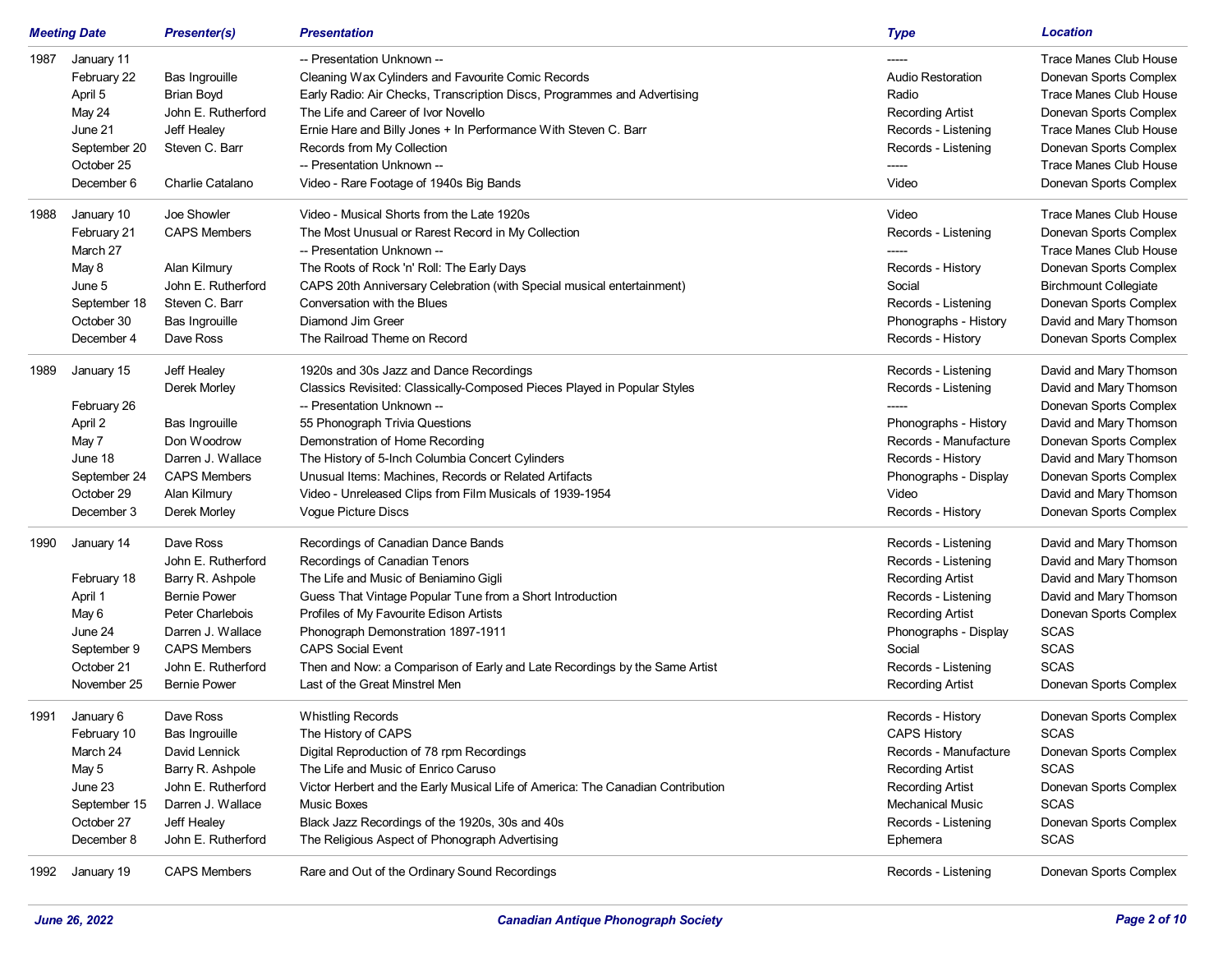|      | <b>Meeting Date</b> | <b>Presenter(s)</b> | <b>Presentation</b>                                                             | <b>Type</b>              | <b>Location</b>               |
|------|---------------------|---------------------|---------------------------------------------------------------------------------|--------------------------|-------------------------------|
| 1987 | January 11          |                     | -- Presentation Unknown --                                                      |                          | Trace Manes Club House        |
|      | February 22         | Bas Ingrouille      | Cleaning Wax Cylinders and Favourite Comic Records                              | <b>Audio Restoration</b> | Donevan Sports Complex        |
|      | April 5             | <b>Brian Boyd</b>   | Early Radio: Air Checks, Transcription Discs, Programmes and Advertising        | Radio                    | Trace Manes Club House        |
|      | May 24              | John E. Rutherford  | The Life and Career of Ivor Novello                                             | <b>Recording Artist</b>  | Donevan Sports Complex        |
|      | June 21             | Jeff Healey         | Ernie Hare and Billy Jones + In Performance With Steven C. Barr                 | Records - Listening      | <b>Trace Manes Club House</b> |
|      | September 20        | Steven C. Barr      | Records from My Collection                                                      | Records - Listening      | Donevan Sports Complex        |
|      | October 25          |                     | -- Presentation Unknown --                                                      |                          | Trace Manes Club House        |
|      | December 6          | Charlie Catalano    | Video - Rare Footage of 1940s Big Bands                                         | Video                    | Donevan Sports Complex        |
| 1988 | January 10          | Joe Showler         | Video - Musical Shorts from the Late 1920s                                      | Video                    | <b>Trace Manes Club House</b> |
|      | February 21         | <b>CAPS Members</b> | The Most Unusual or Rarest Record in My Collection                              | Records - Listening      | Donevan Sports Complex        |
|      | March 27            |                     | -- Presentation Unknown --                                                      | -----                    | Trace Manes Club House        |
|      | May 8               | Alan Kilmury        | The Roots of Rock 'n' Roll: The Early Days                                      | Records - History        | Donevan Sports Complex        |
|      | June 5              | John E. Rutherford  | CAPS 20th Anniversary Celebration (with Special musical entertainment)          | Social                   | <b>Birchmount Collegiate</b>  |
|      | September 18        | Steven C. Barr      | Conversation with the Blues                                                     | Records - Listening      | Donevan Sports Complex        |
|      | October 30          | Bas Ingrouille      | Diamond Jim Greer                                                               | Phonographs - History    | David and Mary Thomson        |
|      | December 4          | Dave Ross           | The Railroad Theme on Record                                                    | Records - History        | Donevan Sports Complex        |
| 1989 | January 15          | Jeff Healey         | 1920s and 30s Jazz and Dance Recordings                                         | Records - Listening      | David and Mary Thomson        |
|      |                     | Derek Morley        | Classics Revisited: Classically-Composed Pieces Played in Popular Styles        | Records - Listening      | David and Mary Thomson        |
|      | February 26         |                     | -- Presentation Unknown --                                                      |                          | Donevan Sports Complex        |
|      | April 2             | Bas Ingrouille      | 55 Phonograph Trivia Questions                                                  | Phonographs - History    | David and Mary Thomson        |
|      | May 7               | Don Woodrow         | Demonstration of Home Recording                                                 | Records - Manufacture    | Donevan Sports Complex        |
|      | June 18             | Darren J. Wallace   | The History of 5-Inch Columbia Concert Cylinders                                | Records - History        | David and Mary Thomson        |
|      | September 24        | <b>CAPS Members</b> | Unusual Items: Machines, Records or Related Artifacts                           | Phonographs - Display    | Donevan Sports Complex        |
|      | October 29          | Alan Kilmury        | Video - Unreleased Clips from Film Musicals of 1939-1954                        | Video                    | David and Mary Thomson        |
|      | December 3          | Derek Morley        | <b>Vogue Picture Discs</b>                                                      | Records - History        | Donevan Sports Complex        |
| 1990 | January 14          | Dave Ross           | Recordings of Canadian Dance Bands                                              | Records - Listening      | David and Mary Thomson        |
|      |                     | John E. Rutherford  | Recordings of Canadian Tenors                                                   | Records - Listening      | David and Mary Thomson        |
|      | February 18         | Barry R. Ashpole    | The Life and Music of Beniamino Gigli                                           | <b>Recording Artist</b>  | David and Mary Thomson        |
|      | April 1             | <b>Bernie Power</b> | Guess That Vintage Popular Tune from a Short Introduction                       | Records - Listening      | David and Mary Thomson        |
|      | May 6               | Peter Charlebois    | Profiles of My Favourite Edison Artists                                         | <b>Recording Artist</b>  | Donevan Sports Complex        |
|      | June 24             | Darren J. Wallace   | Phonograph Demonstration 1897-1911                                              | Phonographs - Display    | <b>SCAS</b>                   |
|      | September 9         | <b>CAPS Members</b> | <b>CAPS Social Event</b>                                                        | Social                   | <b>SCAS</b>                   |
|      | October 21          | John E. Rutherford  | Then and Now: a Comparison of Early and Late Recordings by the Same Artist      | Records - Listening      | <b>SCAS</b>                   |
|      | November 25         | <b>Bernie Power</b> | Last of the Great Minstrel Men                                                  | <b>Recording Artist</b>  | Donevan Sports Complex        |
| 1991 | January 6           | Dave Ross           | <b>Whistling Records</b>                                                        | Records - History        | Donevan Sports Complex        |
|      | February 10         | Bas Ingrouille      | The History of CAPS                                                             | <b>CAPS History</b>      | <b>SCAS</b>                   |
|      | March 24            | David Lennick       | Digital Reproduction of 78 rpm Recordings                                       | Records - Manufacture    | Donevan Sports Complex        |
|      | May 5               | Barry R. Ashpole    | The Life and Music of Enrico Caruso                                             | <b>Recording Artist</b>  | <b>SCAS</b>                   |
|      | June 23             | John E. Rutherford  | Victor Herbert and the Early Musical Life of America: The Canadian Contribution | <b>Recording Artist</b>  | Donevan Sports Complex        |
|      | September 15        | Darren J. Wallace   | <b>Music Boxes</b>                                                              | Mechanical Music         | <b>SCAS</b>                   |
|      | October 27          | Jeff Healey         | Black Jazz Recordings of the 1920s, 30s and 40s                                 | Records - Listening      | Donevan Sports Complex        |
|      | December 8          | John E. Rutherford  | The Religious Aspect of Phonograph Advertising                                  | Ephemera                 | <b>SCAS</b>                   |
| 1992 | January 19          | <b>CAPS Members</b> | Rare and Out of the Ordinary Sound Recordings                                   | Records - Listening      | Donevan Sports Complex        |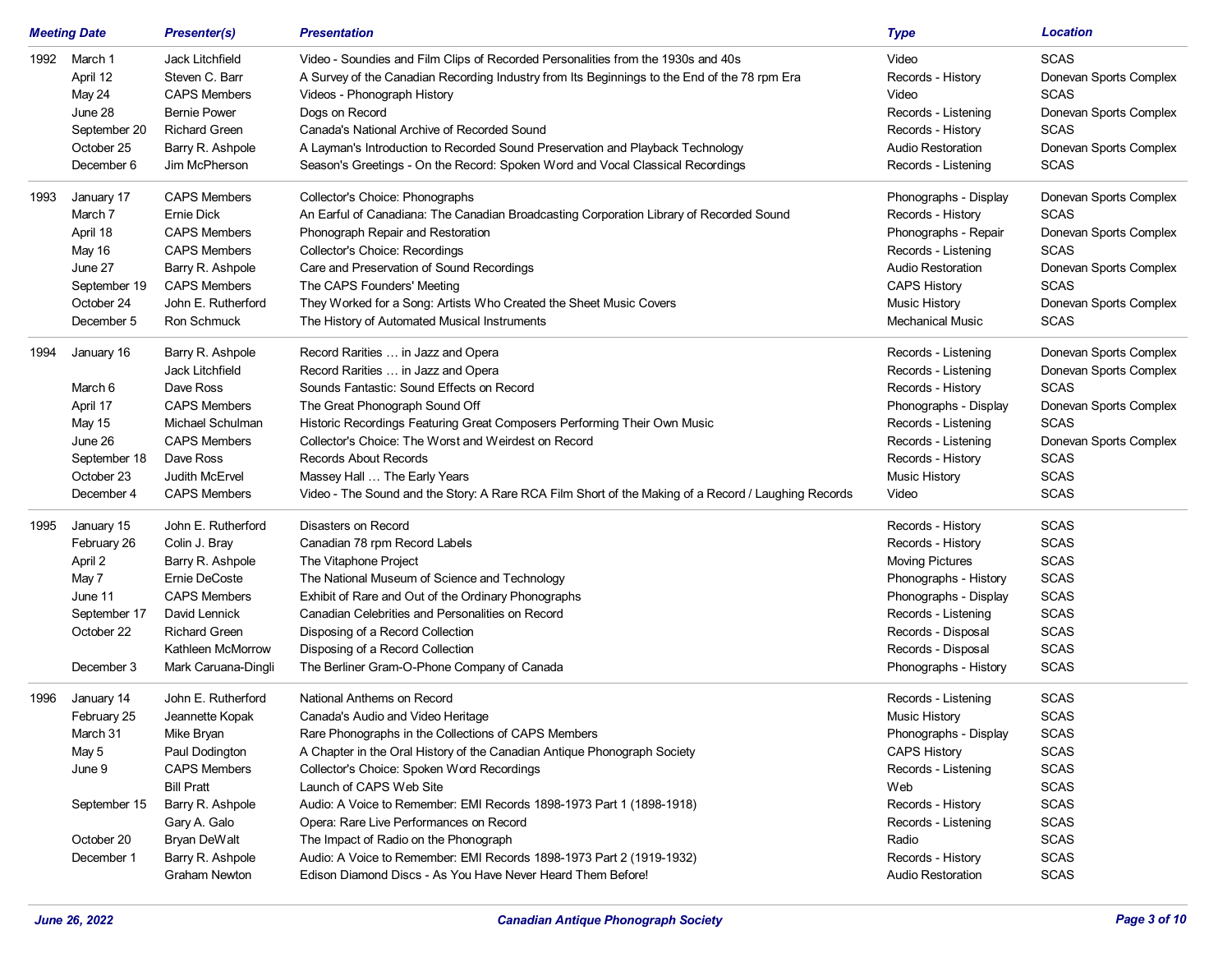|      | <b>Meeting Date</b>                                                                                  | <b>Presenter(s)</b>                                                                                                                                                                                               | <b>Presentation</b>                                                                                                                                                                                                                                                                                                                                                                                                                                                                                                                                                            | <b>Type</b>                                                                                                                                                                                                              | <b>Location</b>                                                                                                                                                          |
|------|------------------------------------------------------------------------------------------------------|-------------------------------------------------------------------------------------------------------------------------------------------------------------------------------------------------------------------|--------------------------------------------------------------------------------------------------------------------------------------------------------------------------------------------------------------------------------------------------------------------------------------------------------------------------------------------------------------------------------------------------------------------------------------------------------------------------------------------------------------------------------------------------------------------------------|--------------------------------------------------------------------------------------------------------------------------------------------------------------------------------------------------------------------------|--------------------------------------------------------------------------------------------------------------------------------------------------------------------------|
|      | 1992 March 1<br>April 12<br>May 24<br>June 28<br>September 20<br>October 25<br>December 6            | Jack Litchfield<br>Steven C. Barr<br><b>CAPS Members</b><br><b>Bernie Power</b><br><b>Richard Green</b><br>Barry R. Ashpole<br>Jim McPherson                                                                      | Video - Soundies and Film Clips of Recorded Personalities from the 1930s and 40s<br>A Survey of the Canadian Recording Industry from Its Beginnings to the End of the 78 rpm Era<br>Videos - Phonograph History<br>Dogs on Record<br>Canada's National Archive of Recorded Sound<br>A Layman's Introduction to Recorded Sound Preservation and Playback Technology<br>Season's Greetings - On the Record: Spoken Word and Vocal Classical Recordings                                                                                                                           | Video<br>Records - History<br>Video<br>Records - Listening<br>Records - History<br>Audio Restoration<br>Records - Listening                                                                                              | SCAS<br>Donevan Sports Complex<br><b>SCAS</b><br>Donevan Sports Complex<br><b>SCAS</b><br>Donevan Sports Complex<br>SCAS                                                 |
| 1993 | January 17<br>March 7<br>April 18<br>May 16<br>June 27<br>September 19<br>October 24<br>December 5   | <b>CAPS Members</b><br>Ernie Dick<br><b>CAPS Members</b><br><b>CAPS Members</b><br>Barry R. Ashpole<br><b>CAPS Members</b><br>John E. Rutherford<br>Ron Schmuck                                                   | Collector's Choice: Phonographs<br>An Earful of Canadiana: The Canadian Broadcasting Corporation Library of Recorded Sound<br>Phonograph Repair and Restoration<br><b>Collector's Choice: Recordings</b><br>Care and Preservation of Sound Recordings<br>The CAPS Founders' Meeting<br>They Worked for a Song: Artists Who Created the Sheet Music Covers<br>The History of Automated Musical Instruments                                                                                                                                                                      | Phonographs - Display<br>Records - History<br>Phonographs - Repair<br>Records - Listening<br>Audio Restoration<br><b>CAPS History</b><br><b>Music History</b><br><b>Mechanical Music</b>                                 | Donevan Sports Complex<br><b>SCAS</b><br>Donevan Sports Complex<br><b>SCAS</b><br>Donevan Sports Complex<br>SCAS<br>Donevan Sports Complex<br><b>SCAS</b>                |
| 1994 | January 16<br>March 6<br>April 17<br>May 15<br>June 26<br>September 18<br>October 23<br>December 4   | Barry R. Ashpole<br>Jack Litchfield<br>Dave Ross<br><b>CAPS Members</b><br>Michael Schulman<br><b>CAPS Members</b><br>Dave Ross<br>Judith McErvel<br><b>CAPS Members</b>                                          | Record Rarities  in Jazz and Opera<br>Record Rarities  in Jazz and Opera<br>Sounds Fantastic: Sound Effects on Record<br>The Great Phonograph Sound Off<br>Historic Recordings Featuring Great Composers Performing Their Own Music<br>Collector's Choice: The Worst and Weirdest on Record<br><b>Records About Records</b><br>Massey Hall  The Early Years<br>Video - The Sound and the Story: A Rare RCA Film Short of the Making of a Record / Laughing Records                                                                                                             | Records - Listening<br>Records - Listening<br>Records - History<br>Phonographs - Display<br>Records - Listening<br>Records - Listening<br>Records - History<br><b>Music History</b><br>Video                             | Donevan Sports Complex<br>Donevan Sports Complex<br>SCAS<br>Donevan Sports Complex<br><b>SCAS</b><br>Donevan Sports Complex<br><b>SCAS</b><br><b>SCAS</b><br><b>SCAS</b> |
| 1995 | January 15<br>February 26<br>April 2<br>May 7<br>June 11<br>September 17<br>October 22<br>December 3 | John E. Rutherford<br>Colin J. Bray<br>Barry R. Ashpole<br>Ernie DeCoste<br><b>CAPS Members</b><br>David Lennick<br><b>Richard Green</b><br>Kathleen McMorrow<br>Mark Caruana-Dingli                              | Disasters on Record<br>Canadian 78 rpm Record Labels<br>The Vitaphone Project<br>The National Museum of Science and Technology<br>Exhibit of Rare and Out of the Ordinary Phonographs<br>Canadian Celebrities and Personalities on Record<br>Disposing of a Record Collection<br>Disposing of a Record Collection<br>The Berliner Gram-O-Phone Company of Canada                                                                                                                                                                                                               | Records - History<br>Records - History<br><b>Moving Pictures</b><br>Phonographs - History<br>Phonographs - Display<br>Records - Listening<br>Records - Disposal<br>Records - Disposal<br>Phonographs - History           | <b>SCAS</b><br><b>SCAS</b><br><b>SCAS</b><br><b>SCAS</b><br><b>SCAS</b><br><b>SCAS</b><br><b>SCAS</b><br><b>SCAS</b><br><b>SCAS</b>                                      |
| 1996 | January 14<br>February 25<br>March 31<br>May 5<br>June 9<br>September 15<br>October 20<br>December 1 | John E. Rutherford<br>Jeannette Kopak<br>Mike Bryan<br>Paul Dodington<br><b>CAPS Members</b><br><b>Bill Pratt</b><br>Barry R. Ashpole<br>Gary A. Galo<br>Bryan DeWalt<br>Barry R. Ashpole<br><b>Graham Newton</b> | National Anthems on Record<br>Canada's Audio and Video Heritage<br>Rare Phonographs in the Collections of CAPS Members<br>A Chapter in the Oral History of the Canadian Antique Phonograph Society<br>Collector's Choice: Spoken Word Recordings<br>Launch of CAPS Web Site<br>Audio: A Voice to Remember: EMI Records 1898-1973 Part 1 (1898-1918)<br>Opera: Rare Live Performances on Record<br>The Impact of Radio on the Phonograph<br>Audio: A Voice to Remember: EMI Records 1898-1973 Part 2 (1919-1932)<br>Edison Diamond Discs - As You Have Never Heard Them Before! | Records - Listening<br>Music History<br>Phonographs - Display<br><b>CAPS History</b><br>Records - Listening<br>Web<br>Records - History<br>Records - Listening<br>Radio<br>Records - History<br><b>Audio Restoration</b> | SCAS<br><b>SCAS</b><br><b>SCAS</b><br><b>SCAS</b><br><b>SCAS</b><br><b>SCAS</b><br><b>SCAS</b><br><b>SCAS</b><br><b>SCAS</b><br><b>SCAS</b><br><b>SCAS</b>               |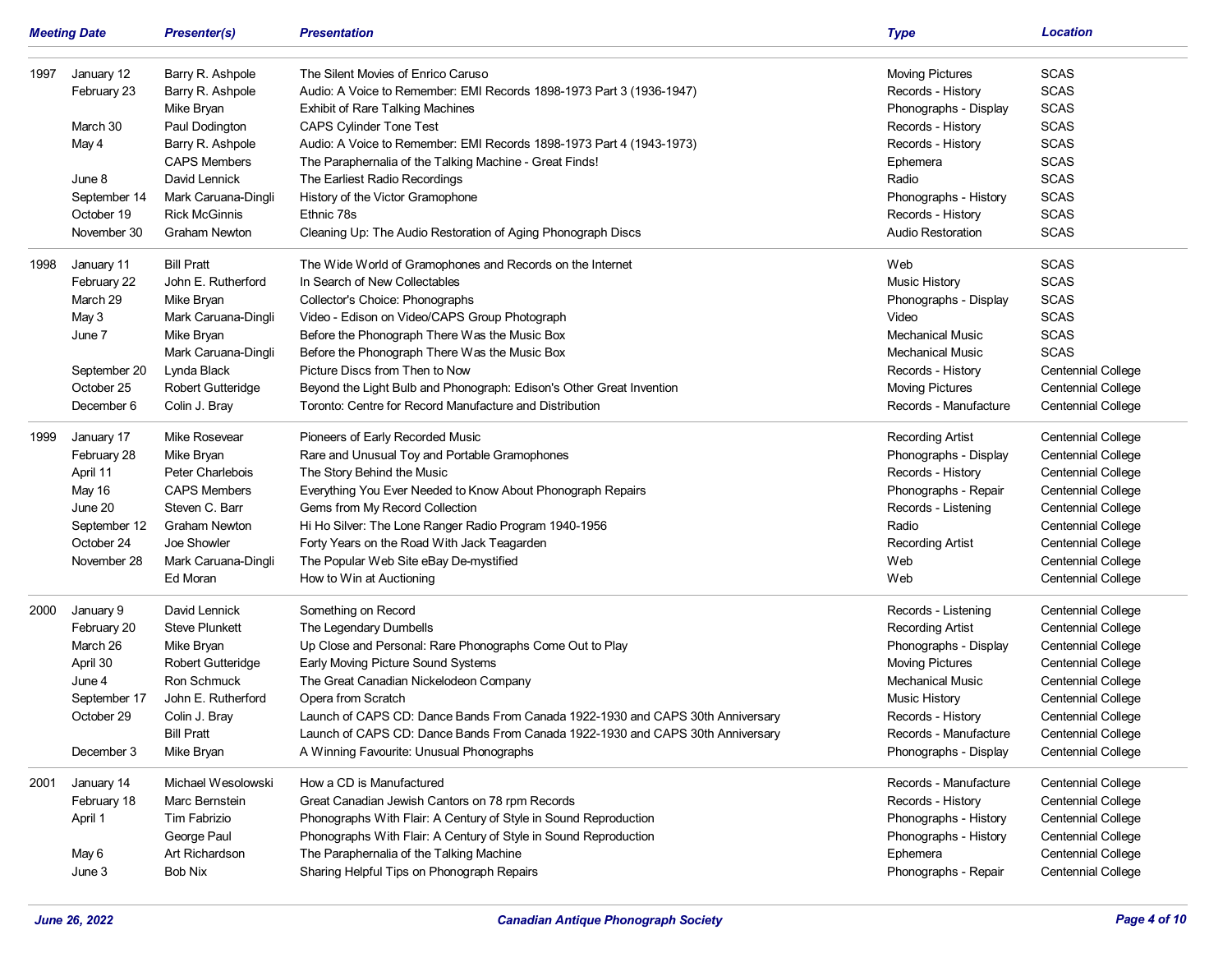|      | <b>Meeting Date</b> | <b>Presenter(s)</b>      | <b>Presentation</b>                                                            | <b>Type</b>              | <b>Location</b>           |
|------|---------------------|--------------------------|--------------------------------------------------------------------------------|--------------------------|---------------------------|
| 1997 | January 12          | Barry R. Ashpole         | The Silent Movies of Enrico Caruso                                             | <b>Moving Pictures</b>   | <b>SCAS</b>               |
|      | February 23         | Barry R. Ashpole         | Audio: A Voice to Remember: EMI Records 1898-1973 Part 3 (1936-1947)           | Records - History        | <b>SCAS</b>               |
|      |                     | Mike Bryan               | <b>Exhibit of Rare Talking Machines</b>                                        | Phonographs - Display    | <b>SCAS</b>               |
|      | March 30            | Paul Dodington           | <b>CAPS Cylinder Tone Test</b>                                                 | Records - History        | <b>SCAS</b>               |
|      | May 4               | Barry R. Ashpole         | Audio: A Voice to Remember: EMI Records 1898-1973 Part 4 (1943-1973)           | Records - History        | <b>SCAS</b>               |
|      |                     | <b>CAPS Members</b>      | The Paraphernalia of the Talking Machine - Great Finds!                        | Ephemera                 | <b>SCAS</b>               |
|      | June 8              | David Lennick            | The Earliest Radio Recordings                                                  | Radio                    | <b>SCAS</b>               |
|      | September 14        | Mark Caruana-Dingli      | History of the Victor Gramophone                                               | Phonographs - History    | <b>SCAS</b>               |
|      | October 19          | <b>Rick McGinnis</b>     | Ethnic 78s                                                                     | Records - History        | <b>SCAS</b>               |
|      | November 30         | <b>Graham Newton</b>     | Cleaning Up: The Audio Restoration of Aging Phonograph Discs                   | <b>Audio Restoration</b> | <b>SCAS</b>               |
| 1998 | January 11          | <b>Bill Pratt</b>        | The Wide World of Gramophones and Records on the Internet                      | Web                      | <b>SCAS</b>               |
|      | February 22         | John E. Rutherford       | In Search of New Collectables                                                  | <b>Music History</b>     | <b>SCAS</b>               |
|      | March 29            | Mike Bryan               | Collector's Choice: Phonographs                                                | Phonographs - Display    | <b>SCAS</b>               |
|      | May 3               | Mark Caruana-Dingli      | Video - Edison on Video/CAPS Group Photograph                                  | Video                    | <b>SCAS</b>               |
|      | June 7              | Mike Bryan               | Before the Phonograph There Was the Music Box                                  | <b>Mechanical Music</b>  | <b>SCAS</b>               |
|      |                     | Mark Caruana-Dingli      | Before the Phonograph There Was the Music Box                                  | Mechanical Music         | <b>SCAS</b>               |
|      | September 20        | Lynda Black              | Picture Discs from Then to Now                                                 | Records - History        | <b>Centennial College</b> |
|      | October 25          | <b>Robert Gutteridge</b> | Beyond the Light Bulb and Phonograph: Edison's Other Great Invention           | <b>Moving Pictures</b>   | <b>Centennial College</b> |
|      | December 6          | Colin J. Bray            | Toronto: Centre for Record Manufacture and Distribution                        | Records - Manufacture    | <b>Centennial College</b> |
| 1999 | January 17          | Mike Rosevear            | Pioneers of Early Recorded Music                                               | <b>Recording Artist</b>  | <b>Centennial College</b> |
|      | February 28         | Mike Bryan               | Rare and Unusual Toy and Portable Gramophones                                  | Phonographs - Display    | <b>Centennial College</b> |
|      | April 11            | Peter Charlebois         | The Story Behind the Music                                                     | Records - History        | <b>Centennial College</b> |
|      | May 16              | <b>CAPS Members</b>      | Everything You Ever Needed to Know About Phonograph Repairs                    | Phonographs - Repair     | <b>Centennial College</b> |
|      | June 20             | Steven C. Barr           | Gems from My Record Collection                                                 | Records - Listening      | <b>Centennial College</b> |
|      | September 12        | <b>Graham Newton</b>     | Hi Ho Silver: The Lone Ranger Radio Program 1940-1956                          | Radio                    | <b>Centennial College</b> |
|      | October 24          | Joe Showler              | Forty Years on the Road With Jack Teagarden                                    | <b>Recording Artist</b>  | <b>Centennial College</b> |
|      | November 28         | Mark Caruana-Dingli      | The Popular Web Site eBay De-mystified                                         | Web                      | <b>Centennial College</b> |
|      |                     | Ed Moran                 | How to Win at Auctioning                                                       | Web                      | <b>Centennial College</b> |
| 2000 | January 9           | David Lennick            | Something on Record                                                            | Records - Listening      | <b>Centennial College</b> |
|      | February 20         | <b>Steve Plunkett</b>    | The Legendary Dumbells                                                         | <b>Recording Artist</b>  | <b>Centennial College</b> |
|      | March 26            | Mike Bryan               | Up Close and Personal: Rare Phonographs Come Out to Play                       | Phonographs - Display    | <b>Centennial College</b> |
|      | April 30            | <b>Robert Gutteridge</b> | Early Moving Picture Sound Systems                                             | <b>Moving Pictures</b>   | <b>Centennial College</b> |
|      | June 4              | Ron Schmuck              | The Great Canadian Nickelodeon Company                                         | <b>Mechanical Music</b>  | <b>Centennial College</b> |
|      | September 17        | John E. Rutherford       | Opera from Scratch                                                             | Music History            | <b>Centennial College</b> |
|      | October 29          | Colin J. Bray            | Launch of CAPS CD: Dance Bands From Canada 1922-1930 and CAPS 30th Anniversary | Records - History        | <b>Centennial College</b> |
|      |                     | <b>Bill Pratt</b>        | Launch of CAPS CD: Dance Bands From Canada 1922-1930 and CAPS 30th Anniversary | Records - Manufacture    | <b>Centennial College</b> |
|      | December 3          | Mike Bryan               | A Winning Favourite: Unusual Phonographs                                       | Phonographs - Display    | <b>Centennial College</b> |
| 2001 | January 14          | Michael Wesolowski       | How a CD is Manufactured                                                       | Records - Manufacture    | <b>Centennial College</b> |
|      | February 18         | Marc Bernstein           | Great Canadian Jewish Cantors on 78 rpm Records                                | Records - History        | <b>Centennial College</b> |
|      | April 1             | Tim Fabrizio             | Phonographs With Flair: A Century of Style in Sound Reproduction               | Phonographs - History    | <b>Centennial College</b> |
|      |                     | George Paul              | Phonographs With Flair: A Century of Style in Sound Reproduction               | Phonographs - History    | <b>Centennial College</b> |
|      | May 6               | Art Richardson           | The Paraphernalia of the Talking Machine                                       | Ephemera                 | <b>Centennial College</b> |
|      | June 3              | Bob Nix                  | Sharing Helpful Tips on Phonograph Repairs                                     | Phonographs - Repair     | <b>Centennial College</b> |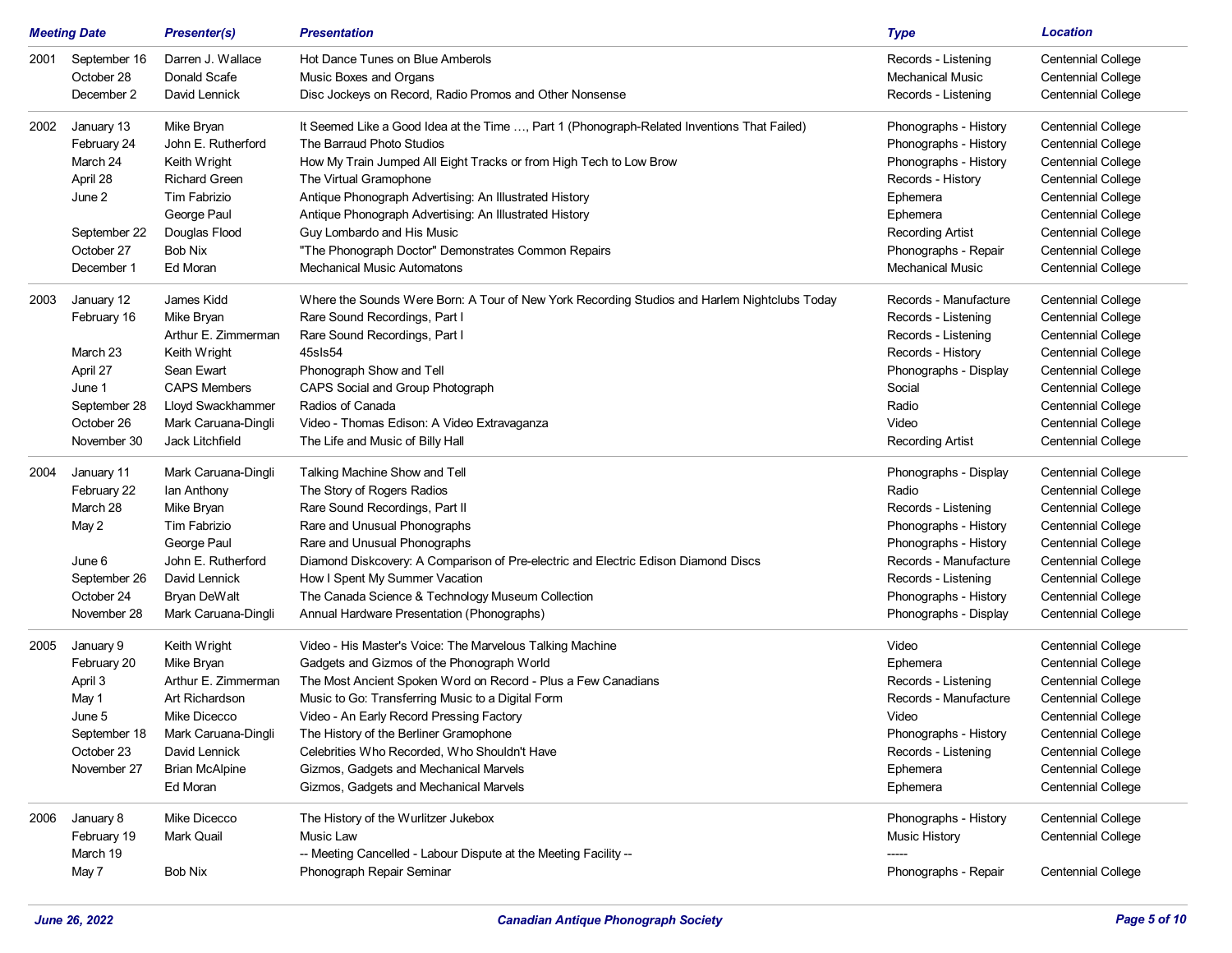|      | <b>Meeting Date</b>                      | <b>Presenter(s)</b>                                | <b>Presentation</b>                                                                                                   | <b>Type</b>                                                           | <b>Location</b>                                                                     |
|------|------------------------------------------|----------------------------------------------------|-----------------------------------------------------------------------------------------------------------------------|-----------------------------------------------------------------------|-------------------------------------------------------------------------------------|
| 2001 | September 16<br>October 28<br>December 2 | Darren J. Wallace<br>Donald Scafe<br>David Lennick | Hot Dance Tunes on Blue Amberols<br>Music Boxes and Organs<br>Disc Jockeys on Record, Radio Promos and Other Nonsense | Records - Listening<br><b>Mechanical Music</b><br>Records - Listening | <b>Centennial College</b><br><b>Centennial College</b><br><b>Centennial College</b> |
|      |                                          |                                                    |                                                                                                                       |                                                                       |                                                                                     |
| 2002 | January 13                               | Mike Bryan                                         | It Seemed Like a Good Idea at the Time , Part 1 (Phonograph-Related Inventions That Failed)                           | Phonographs - History                                                 | Centennial College                                                                  |
|      | February 24                              | John E. Rutherford                                 | The Barraud Photo Studios                                                                                             | Phonographs - History                                                 | <b>Centennial College</b>                                                           |
|      | March 24                                 | Keith Wright                                       | How My Train Jumped All Eight Tracks or from High Tech to Low Brow                                                    | Phonographs - History                                                 | <b>Centennial College</b>                                                           |
|      | April 28                                 | <b>Richard Green</b>                               | The Virtual Gramophone                                                                                                | Records - History                                                     | <b>Centennial College</b>                                                           |
|      | June 2                                   | Tim Fabrizio                                       | Antique Phonograph Advertising: An Illustrated History                                                                | Ephemera                                                              | <b>Centennial College</b>                                                           |
|      |                                          | George Paul                                        | Antique Phonograph Advertising: An Illustrated History                                                                | Ephemera                                                              | <b>Centennial College</b>                                                           |
|      | September 22                             | Douglas Flood                                      | Guy Lombardo and His Music                                                                                            | <b>Recording Artist</b>                                               | <b>Centennial College</b>                                                           |
|      | October 27                               | Bob Nix                                            | "The Phonograph Doctor" Demonstrates Common Repairs                                                                   | Phonographs - Repair                                                  | <b>Centennial College</b>                                                           |
|      | December 1                               | Ed Moran                                           | <b>Mechanical Music Automatons</b>                                                                                    | <b>Mechanical Music</b>                                               | <b>Centennial College</b>                                                           |
| 2003 | January 12                               | James Kidd                                         | Where the Sounds Were Born: A Tour of New York Recording Studios and Harlem Nightclubs Today                          | Records - Manufacture                                                 | <b>Centennial College</b>                                                           |
|      | February 16                              | Mike Bryan                                         | Rare Sound Recordings, Part I                                                                                         | Records - Listening                                                   | <b>Centennial College</b>                                                           |
|      |                                          | Arthur E. Zimmerman                                | Rare Sound Recordings, Part I                                                                                         | Records - Listening                                                   | <b>Centennial College</b>                                                           |
|      | March 23                                 | Keith Wright                                       | 45sls54                                                                                                               | Records - History                                                     | Centennial College                                                                  |
|      | April 27                                 | Sean Ewart                                         | Phonograph Show and Tell                                                                                              | Phonographs - Display                                                 | <b>Centennial College</b>                                                           |
|      | June 1                                   | <b>CAPS Members</b>                                | CAPS Social and Group Photograph                                                                                      | Social                                                                | <b>Centennial College</b>                                                           |
|      | September 28                             | Lloyd Swackhammer                                  | Radios of Canada                                                                                                      | Radio                                                                 | <b>Centennial College</b>                                                           |
|      | October 26                               | Mark Caruana-Dingli                                | Video - Thomas Edison: A Video Extravaganza                                                                           | Video                                                                 | <b>Centennial College</b>                                                           |
|      | November 30                              | Jack Litchfield                                    | The Life and Music of Billy Hall                                                                                      | <b>Recording Artist</b>                                               | <b>Centennial College</b>                                                           |
| 2004 | January 11                               | Mark Caruana-Dingli                                | Talking Machine Show and Tell                                                                                         | Phonographs - Display                                                 | <b>Centennial College</b>                                                           |
|      | February 22                              | lan Anthony                                        | The Story of Rogers Radios                                                                                            | Radio                                                                 | <b>Centennial College</b>                                                           |
|      | March 28                                 | Mike Bryan                                         | Rare Sound Recordings, Part II                                                                                        | Records - Listening                                                   | <b>Centennial College</b>                                                           |
|      | May 2                                    | Tim Fabrizio                                       | Rare and Unusual Phonographs                                                                                          | Phonographs - History                                                 | <b>Centennial College</b>                                                           |
|      |                                          | George Paul                                        | Rare and Unusual Phonographs                                                                                          | Phonographs - History                                                 | <b>Centennial College</b>                                                           |
|      | June 6                                   | John E. Rutherford                                 | Diamond Diskcovery: A Comparison of Pre-electric and Electric Edison Diamond Discs                                    | Records - Manufacture                                                 | <b>Centennial College</b>                                                           |
|      | September 26                             | David Lennick                                      | How I Spent My Summer Vacation                                                                                        | Records - Listening                                                   | <b>Centennial College</b>                                                           |
|      | October 24                               | Bryan DeWalt                                       | The Canada Science & Technology Museum Collection                                                                     | Phonographs - History                                                 | <b>Centennial College</b>                                                           |
|      | November 28                              | Mark Caruana-Dingli                                | Annual Hardware Presentation (Phonographs)                                                                            | Phonographs - Display                                                 | <b>Centennial College</b>                                                           |
| 2005 | January 9                                | Keith Wright                                       | Video - His Master's Voice: The Marvelous Talking Machine                                                             | Video                                                                 | Centennial College                                                                  |
|      | February 20                              | Mike Bryan                                         | Gadgets and Gizmos of the Phonograph World                                                                            | Ephemera                                                              | <b>Centennial College</b>                                                           |
|      | April 3                                  | Arthur E. Zimmerman                                | The Most Ancient Spoken Word on Record - Plus a Few Canadians                                                         | Records - Listening                                                   | <b>Centennial College</b>                                                           |
|      | May 1                                    | Art Richardson                                     | Music to Go: Transferring Music to a Digital Form                                                                     | Records - Manufacture                                                 | <b>Centennial College</b>                                                           |
|      | June 5                                   | Mike Dicecco                                       | Video - An Early Record Pressing Factory                                                                              | Video                                                                 | <b>Centennial College</b>                                                           |
|      | September 18                             | Mark Caruana-Dingli                                | The History of the Berliner Gramophone                                                                                | Phonographs - History                                                 | <b>Centennial College</b>                                                           |
|      | October 23                               | David Lennick                                      | Celebrities Who Recorded, Who Shouldn't Have                                                                          | Records - Listening                                                   | Centennial College                                                                  |
|      | November 27                              | <b>Brian McAlpine</b>                              | Gizmos, Gadgets and Mechanical Marvels                                                                                | Ephemera                                                              | Centennial College                                                                  |
|      |                                          | Ed Moran                                           | Gizmos, Gadgets and Mechanical Marvels                                                                                | Ephemera                                                              | <b>Centennial College</b>                                                           |
| 2006 | January 8                                | Mike Dicecco                                       | The History of the Wurlitzer Jukebox                                                                                  | Phonographs - History                                                 | Centennial College                                                                  |
|      | February 19                              | Mark Quail                                         | Music Law                                                                                                             | <b>Music History</b>                                                  | <b>Centennial College</b>                                                           |
|      | March 19                                 |                                                    | -- Meeting Cancelled - Labour Dispute at the Meeting Facility --                                                      | -----                                                                 |                                                                                     |
|      | May 7                                    | Bob Nix                                            | Phonograph Repair Seminar                                                                                             | Phonographs - Repair                                                  | Centennial College                                                                  |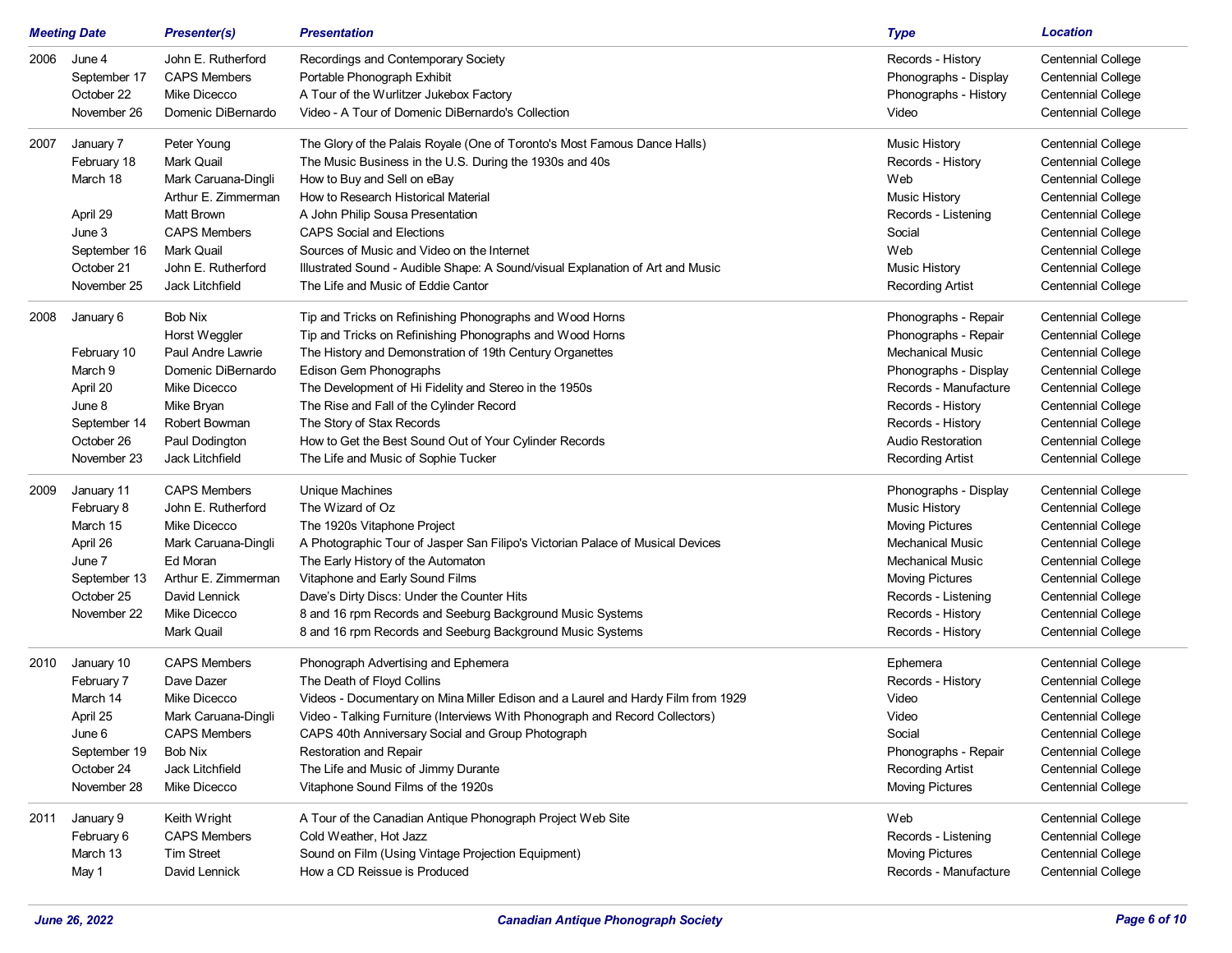|      | <b>Meeting Date</b>                                                                                     | <b>Presenter(s)</b>                                                                                                                                                        | <b>Presentation</b>                                                                                                                                                                                                                                                                                                                                                                                                                                      | <b>Type</b>                                                                                                                                                                                                         | <b>Location</b>                                                                                                                                                                                                                                                   |
|------|---------------------------------------------------------------------------------------------------------|----------------------------------------------------------------------------------------------------------------------------------------------------------------------------|----------------------------------------------------------------------------------------------------------------------------------------------------------------------------------------------------------------------------------------------------------------------------------------------------------------------------------------------------------------------------------------------------------------------------------------------------------|---------------------------------------------------------------------------------------------------------------------------------------------------------------------------------------------------------------------|-------------------------------------------------------------------------------------------------------------------------------------------------------------------------------------------------------------------------------------------------------------------|
| 2006 | June 4<br>September 17<br>October 22<br>November 26                                                     | John E. Rutherford<br><b>CAPS Members</b><br>Mike Dicecco<br>Domenic DiBernardo                                                                                            | Recordings and Contemporary Society<br>Portable Phonograph Exhibit<br>A Tour of the Wurlitzer Jukebox Factory<br>Video - A Tour of Domenic DiBernardo's Collection                                                                                                                                                                                                                                                                                       | Records - History<br>Phonographs - Display<br>Phonographs - History<br>Video                                                                                                                                        | <b>Centennial College</b><br><b>Centennial College</b><br><b>Centennial College</b><br><b>Centennial College</b>                                                                                                                                                  |
| 2007 | January 7<br>February 18<br>March 18<br>April 29<br>June 3<br>September 16<br>October 21<br>November 25 | Peter Young<br>Mark Quail<br>Mark Caruana-Dingli<br>Arthur E. Zimmerman<br><b>Matt Brown</b><br><b>CAPS Members</b><br>Mark Quail<br>John E. Rutherford<br>Jack Litchfield | The Glory of the Palais Royale (One of Toronto's Most Famous Dance Halls)<br>The Music Business in the U.S. During the 1930s and 40s<br>How to Buy and Sell on eBay<br>How to Research Historical Material<br>A John Philip Sousa Presentation<br><b>CAPS Social and Elections</b><br>Sources of Music and Video on the Internet<br>Illustrated Sound - Audible Shape: A Sound/visual Explanation of Art and Music<br>The Life and Music of Eddie Cantor | <b>Music History</b><br>Records - History<br>Web<br><b>Music History</b><br>Records - Listening<br>Social<br>Web<br><b>Music History</b><br><b>Recording Artist</b>                                                 | <b>Centennial College</b><br><b>Centennial College</b><br>Centennial College<br><b>Centennial College</b><br><b>Centennial College</b><br><b>Centennial College</b><br>Centennial College<br><b>Centennial College</b><br><b>Centennial College</b>               |
| 2008 | January 6<br>February 10<br>March 9<br>April 20<br>June 8<br>September 14<br>October 26<br>November 23  | Bob Nix<br>Horst Weggler<br>Paul Andre Lawrie<br>Domenic DiBernardo<br>Mike Dicecco<br>Mike Bryan<br>Robert Bowman<br>Paul Dodington<br>Jack Litchfield                    | Tip and Tricks on Refinishing Phonographs and Wood Horns<br>Tip and Tricks on Refinishing Phonographs and Wood Horns<br>The History and Demonstration of 19th Century Organettes<br>Edison Gem Phonographs<br>The Development of Hi Fidelity and Stereo in the 1950s<br>The Rise and Fall of the Cylinder Record<br>The Story of Stax Records<br>How to Get the Best Sound Out of Your Cylinder Records<br>The Life and Music of Sophie Tucker           | Phonographs - Repair<br>Phonographs - Repair<br><b>Mechanical Music</b><br>Phonographs - Display<br>Records - Manufacture<br>Records - History<br>Records - History<br>Audio Restoration<br><b>Recording Artist</b> | <b>Centennial College</b><br><b>Centennial College</b><br>Centennial College<br><b>Centennial College</b><br><b>Centennial College</b><br><b>Centennial College</b><br><b>Centennial College</b><br><b>Centennial College</b><br><b>Centennial College</b>        |
| 2009 | January 11<br>February 8<br>March 15<br>April 26<br>June 7<br>September 13<br>October 25<br>November 22 | <b>CAPS Members</b><br>John E. Rutherford<br>Mike Dicecco<br>Mark Caruana-Dingli<br>Ed Moran<br>Arthur E. Zimmerman<br>David Lennick<br>Mike Dicecco<br>Mark Quail         | <b>Unique Machines</b><br>The Wizard of Oz<br>The 1920s Vitaphone Project<br>A Photographic Tour of Jasper San Filipo's Victorian Palace of Musical Devices<br>The Early History of the Automaton<br>Vitaphone and Early Sound Films<br>Dave's Dirty Discs: Under the Counter Hits<br>8 and 16 rpm Records and Seeburg Background Music Systems<br>8 and 16 rpm Records and Seeburg Background Music Systems                                             | Phonographs - Display<br><b>Music History</b><br><b>Moving Pictures</b><br>Mechanical Music<br><b>Mechanical Music</b><br><b>Moving Pictures</b><br>Records - Listening<br>Records - History<br>Records - History   | <b>Centennial College</b><br><b>Centennial College</b><br><b>Centennial College</b><br><b>Centennial College</b><br><b>Centennial College</b><br><b>Centennial College</b><br><b>Centennial College</b><br><b>Centennial College</b><br><b>Centennial College</b> |
| 2010 | January 10<br>February 7<br>March 14<br>April 25<br>June 6<br>September 19<br>October 24<br>November 28 | <b>CAPS Members</b><br>Dave Dazer<br>Mike Dicecco<br>Mark Caruana-Dingli<br><b>CAPS Members</b><br><b>Bob Nix</b><br>Jack Litchfield<br>Mike Dicecco                       | Phonograph Advertising and Ephemera<br>The Death of Floyd Collins<br>Videos - Documentary on Mina Miller Edison and a Laurel and Hardy Film from 1929<br>Video - Talking Furniture (Interviews With Phonograph and Record Collectors)<br>CAPS 40th Anniversary Social and Group Photograph<br><b>Restoration and Repair</b><br>The Life and Music of Jimmy Durante<br>Vitaphone Sound Films of the 1920s                                                 | Ephemera<br>Records - History<br>Video<br>Video<br>Social<br>Phonographs - Repair<br><b>Recording Artist</b><br><b>Moving Pictures</b>                                                                              | <b>Centennial College</b><br><b>Centennial College</b><br><b>Centennial College</b><br><b>Centennial College</b><br><b>Centennial College</b><br><b>Centennial College</b><br>Centennial College<br><b>Centennial College</b>                                     |
| 2011 | January 9<br>February 6<br>March 13<br>May 1                                                            | Keith Wright<br><b>CAPS Members</b><br><b>Tim Street</b><br>David Lennick                                                                                                  | A Tour of the Canadian Antique Phonograph Project Web Site<br>Cold Weather, Hot Jazz<br>Sound on Film (Using Vintage Projection Equipment)<br>How a CD Reissue is Produced                                                                                                                                                                                                                                                                               | Web<br>Records - Listening<br><b>Moving Pictures</b><br>Records - Manufacture                                                                                                                                       | <b>Centennial College</b><br><b>Centennial College</b><br>Centennial College<br>Centennial College                                                                                                                                                                |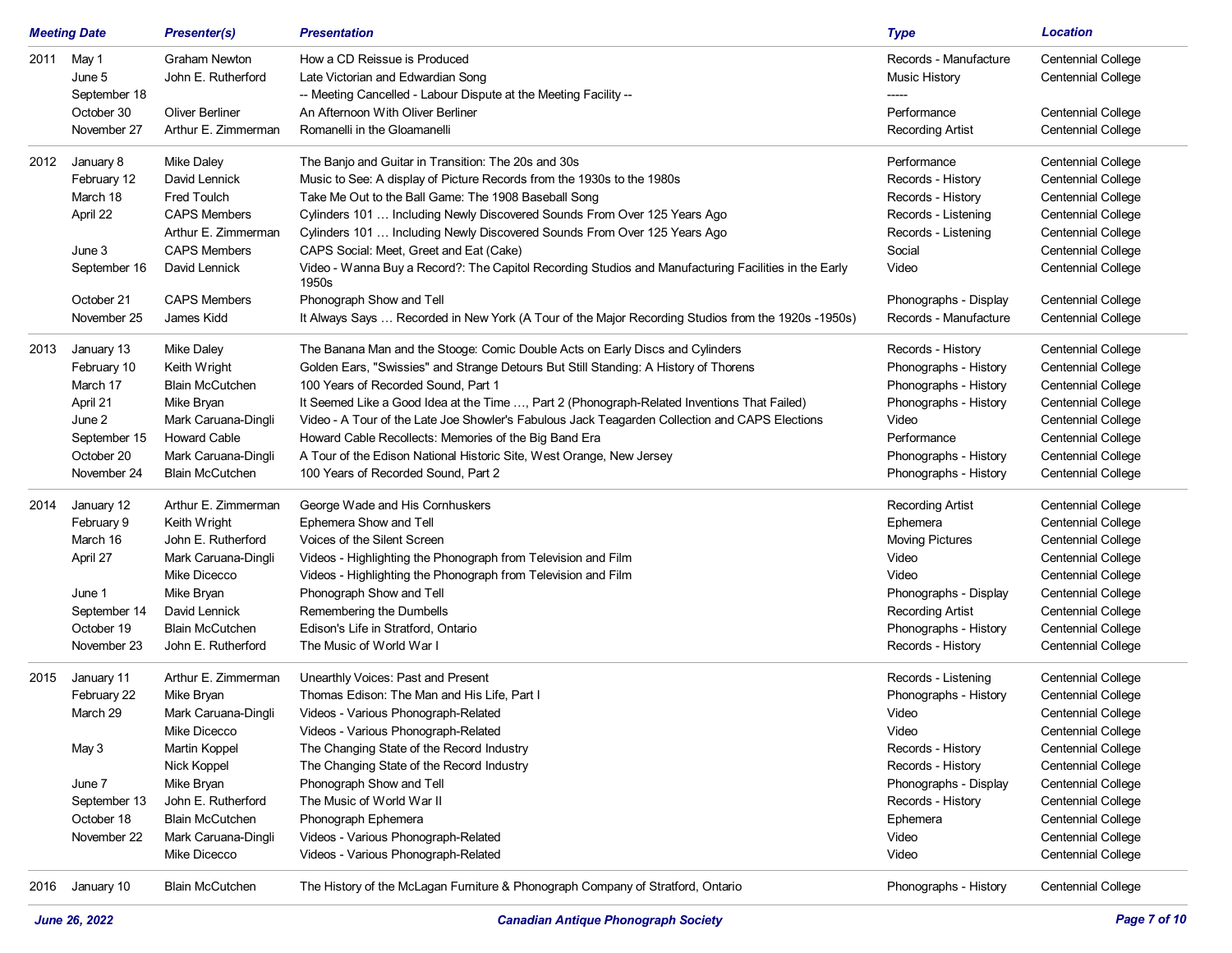|      | <b>Meeting Date</b> | <b>Presenter(s)</b>    | <b>Presentation</b>                                                                                           | <b>Type</b>             | <b>Location</b>           |
|------|---------------------|------------------------|---------------------------------------------------------------------------------------------------------------|-------------------------|---------------------------|
| 2011 | May 1               | <b>Graham Newton</b>   | How a CD Reissue is Produced                                                                                  | Records - Manufacture   | <b>Centennial College</b> |
|      | June 5              | John E. Rutherford     | Late Victorian and Edwardian Song                                                                             | <b>Music History</b>    | <b>Centennial College</b> |
|      | September 18        |                        | -- Meeting Cancelled - Labour Dispute at the Meeting Facility --                                              |                         |                           |
|      | October 30          | <b>Oliver Berliner</b> | An Afternoon With Oliver Berliner                                                                             | Performance             | <b>Centennial College</b> |
|      | November 27         | Arthur E. Zimmerman    | Romanelli in the Gloamanelli                                                                                  | <b>Recording Artist</b> | <b>Centennial College</b> |
| 2012 | January 8           | <b>Mike Daley</b>      | The Banjo and Guitar in Transition: The 20s and 30s                                                           | Performance             | <b>Centennial College</b> |
|      | February 12         | David Lennick          | Music to See: A display of Picture Records from the 1930s to the 1980s                                        | Records - History       | <b>Centennial College</b> |
|      | March 18            | <b>Fred Toulch</b>     | Take Me Out to the Ball Game: The 1908 Baseball Song                                                          | Records - History       | <b>Centennial College</b> |
|      | April 22            | <b>CAPS Members</b>    | Cylinders 101  Including Newly Discovered Sounds From Over 125 Years Ago                                      | Records - Listening     | <b>Centennial College</b> |
|      |                     | Arthur E. Zimmerman    | Cylinders 101  Including Newly Discovered Sounds From Over 125 Years Ago                                      | Records - Listening     | <b>Centennial College</b> |
|      | June 3              | <b>CAPS Members</b>    | CAPS Social: Meet, Greet and Eat (Cake)                                                                       | Social                  | <b>Centennial College</b> |
|      | September 16        | David Lennick          | Video - Wanna Buy a Record?: The Capitol Recording Studios and Manufacturing Facilities in the Early<br>1950s | Video                   | <b>Centennial College</b> |
|      | October 21          | <b>CAPS Members</b>    | Phonograph Show and Tell                                                                                      | Phonographs - Display   | <b>Centennial College</b> |
|      | November 25         | James Kidd             | It Always Says  Recorded in New York (A Tour of the Major Recording Studios from the 1920s -1950s)            | Records - Manufacture   | <b>Centennial College</b> |
|      |                     |                        |                                                                                                               |                         |                           |
| 2013 | January 13          | Mike Daley             | The Banana Man and the Stooge: Comic Double Acts on Early Discs and Cylinders                                 | Records - History       | <b>Centennial College</b> |
|      | February 10         | Keith Wright           | Golden Ears, "Swissies" and Strange Detours But Still Standing: A History of Thorens                          | Phonographs - History   | <b>Centennial College</b> |
|      | March 17            | <b>Blain McCutchen</b> | 100 Years of Recorded Sound, Part 1                                                                           | Phonographs - History   | <b>Centennial College</b> |
|      | April 21            | Mike Bryan             | It Seemed Like a Good Idea at the Time , Part 2 (Phonograph-Related Inventions That Failed)                   | Phonographs - History   | <b>Centennial College</b> |
|      | June 2              | Mark Caruana-Dingli    | Video - A Tour of the Late Joe Showler's Fabulous Jack Teagarden Collection and CAPS Elections                | Video                   | <b>Centennial College</b> |
|      | September 15        | <b>Howard Cable</b>    | Howard Cable Recollects: Memories of the Big Band Era                                                         | Performance             | <b>Centennial College</b> |
|      | October 20          | Mark Caruana-Dingli    | A Tour of the Edison National Historic Site, West Orange, New Jersey                                          | Phonographs - History   | <b>Centennial College</b> |
|      | November 24         | <b>Blain McCutchen</b> | 100 Years of Recorded Sound. Part 2                                                                           | Phonographs - History   | <b>Centennial College</b> |
| 2014 | January 12          | Arthur E. Zimmerman    | George Wade and His Cornhuskers                                                                               | <b>Recording Artist</b> | <b>Centennial College</b> |
|      | February 9          | Keith Wright           | Ephemera Show and Tell                                                                                        | Ephemera                | <b>Centennial College</b> |
|      | March 16            | John E. Rutherford     | Voices of the Silent Screen                                                                                   | <b>Moving Pictures</b>  | <b>Centennial College</b> |
|      | April 27            | Mark Caruana-Dingli    | Videos - Highlighting the Phonograph from Television and Film                                                 | Video                   | <b>Centennial College</b> |
|      |                     | Mike Dicecco           | Videos - Highlighting the Phonograph from Television and Film                                                 | Video                   | <b>Centennial College</b> |
|      | June 1              | Mike Bryan             | Phonograph Show and Tell                                                                                      | Phonographs - Display   | <b>Centennial College</b> |
|      | September 14        | David Lennick          | Remembering the Dumbells                                                                                      | <b>Recording Artist</b> | <b>Centennial College</b> |
|      | October 19          | <b>Blain McCutchen</b> | Edison's Life in Stratford. Ontario                                                                           | Phonographs - History   | <b>Centennial College</b> |
|      | November 23         | John E. Rutherford     | The Music of World War I                                                                                      | Records - History       | <b>Centennial College</b> |
| 2015 | January 11          | Arthur E. Zimmerman    | Unearthly Voices: Past and Present                                                                            | Records - Listening     | <b>Centennial College</b> |
|      | February 22         | Mike Bryan             | Thomas Edison: The Man and His Life, Part I                                                                   | Phonographs - History   | <b>Centennial College</b> |
|      | March 29            | Mark Caruana-Dingli    | Videos - Various Phonograph-Related                                                                           | Video                   | <b>Centennial College</b> |
|      |                     | Mike Dicecco           | Videos - Various Phonograph-Related                                                                           | Video                   | <b>Centennial College</b> |
|      | May 3               | <b>Martin Koppel</b>   | The Changing State of the Record Industry                                                                     | Records - History       | Centennial College        |
|      |                     | Nick Koppel            | The Changing State of the Record Industry                                                                     | Records - History       | <b>Centennial College</b> |
|      | June 7              | Mike Bryan             | Phonograph Show and Tell                                                                                      | Phonographs - Display   | <b>Centennial College</b> |
|      | September 13        | John E. Rutherford     | The Music of World War II                                                                                     | Records - History       | <b>Centennial College</b> |
|      | October 18          | <b>Blain McCutchen</b> | Phonograph Ephemera                                                                                           | Ephemera                | <b>Centennial College</b> |
|      | November 22         | Mark Caruana-Dingli    | Videos - Various Phonograph-Related                                                                           | Video                   | <b>Centennial College</b> |
|      |                     | Mike Dicecco           | Videos - Various Phonograph-Related                                                                           | Video                   | <b>Centennial College</b> |
| 2016 | January 10          | <b>Blain McCutchen</b> | The History of the McLagan Furniture & Phonograph Company of Stratford, Ontario                               | Phonographs - History   | <b>Centennial College</b> |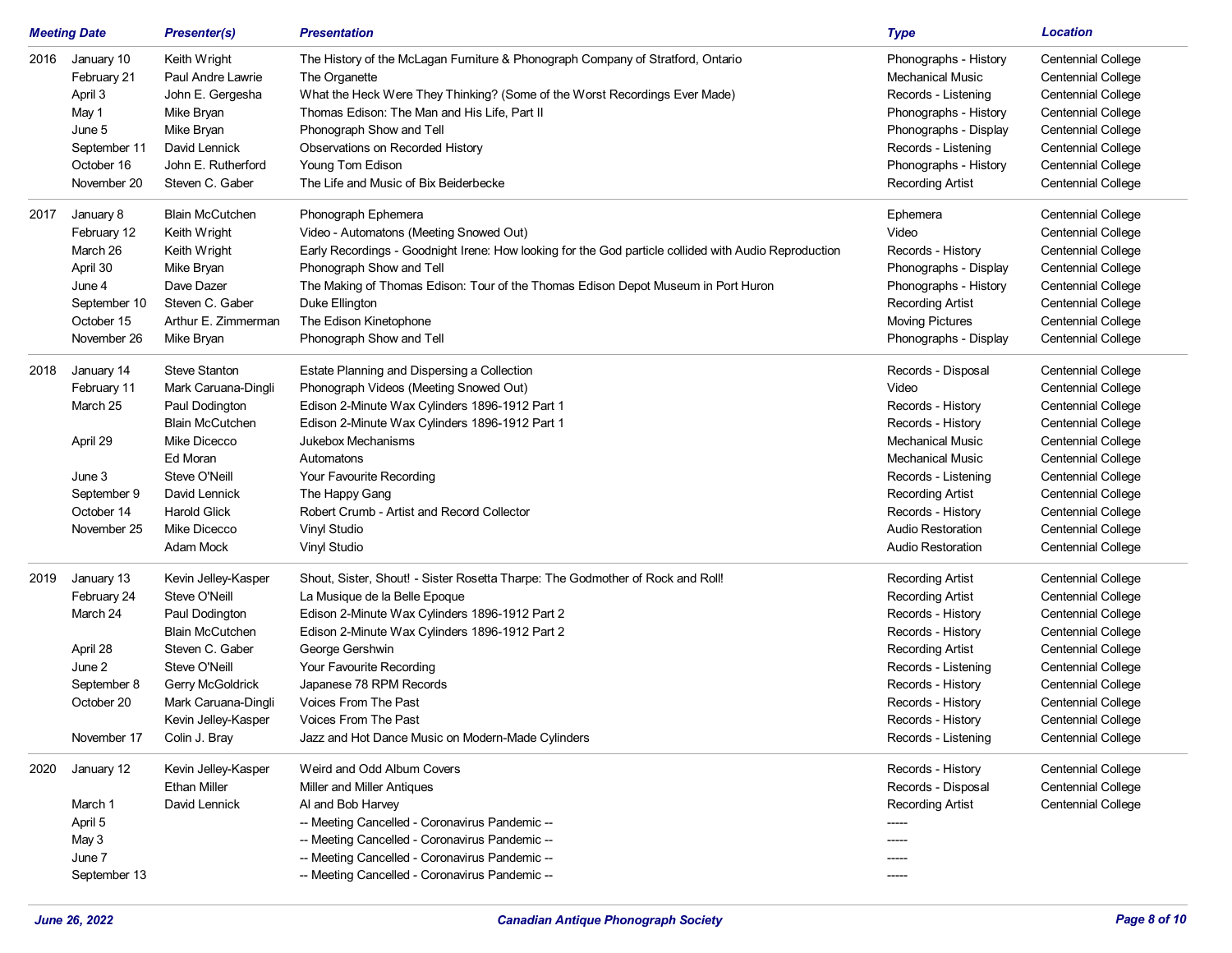|      | <b>Meeting Date</b> | <b>Presenter(s)</b>    | <b>Presentation</b>                                                                                   | <b>Type</b>              | <b>Location</b>           |
|------|---------------------|------------------------|-------------------------------------------------------------------------------------------------------|--------------------------|---------------------------|
| 2016 | January 10          | Keith Wright           | The History of the McLagan Furniture & Phonograph Company of Stratford, Ontario                       | Phonographs - History    | <b>Centennial College</b> |
|      | February 21         | Paul Andre Lawrie      | The Organette                                                                                         | <b>Mechanical Music</b>  | <b>Centennial College</b> |
|      | April 3             | John E. Gergesha       | What the Heck Were They Thinking? (Some of the Worst Recordings Ever Made)                            | Records - Listening      | <b>Centennial College</b> |
|      | May 1               | Mike Bryan             | Thomas Edison: The Man and His Life, Part II                                                          | Phonographs - History    | <b>Centennial College</b> |
|      | June 5              | Mike Bryan             | Phonograph Show and Tell                                                                              | Phonographs - Display    | <b>Centennial College</b> |
|      | September 11        | David Lennick          | Observations on Recorded History                                                                      | Records - Listening      | <b>Centennial College</b> |
|      | October 16          | John E. Rutherford     | Young Tom Edison                                                                                      | Phonographs - History    | <b>Centennial College</b> |
|      | November 20         | Steven C. Gaber        | The Life and Music of Bix Beiderbecke                                                                 | <b>Recording Artist</b>  | <b>Centennial College</b> |
| 2017 | January 8           | <b>Blain McCutchen</b> | Phonograph Ephemera                                                                                   | Ephemera                 | <b>Centennial College</b> |
|      | February 12         | Keith Wright           | Video - Automatons (Meeting Snowed Out)                                                               | Video                    | <b>Centennial College</b> |
|      | March 26            | Keith Wright           | Early Recordings - Goodnight Irene: How looking for the God particle collided with Audio Reproduction | Records - History        | <b>Centennial College</b> |
|      | April 30            | Mike Bryan             | Phonograph Show and Tell                                                                              | Phonographs - Display    | Centennial College        |
|      | June 4              | Dave Dazer             | The Making of Thomas Edison: Tour of the Thomas Edison Depot Museum in Port Huron                     | Phonographs - History    | <b>Centennial College</b> |
|      | September 10        | Steven C. Gaber        | Duke Ellington                                                                                        | <b>Recording Artist</b>  | <b>Centennial College</b> |
|      | October 15          | Arthur E. Zimmerman    | The Edison Kinetophone                                                                                | <b>Moving Pictures</b>   | <b>Centennial College</b> |
|      | November 26         | Mike Bryan             | Phonograph Show and Tell                                                                              | Phonographs - Display    | <b>Centennial College</b> |
| 2018 | January 14          | <b>Steve Stanton</b>   | Estate Planning and Dispersing a Collection                                                           | Records - Disposal       | <b>Centennial College</b> |
|      | February 11         | Mark Caruana-Dingli    | Phonograph Videos (Meeting Snowed Out)                                                                | Video                    | <b>Centennial College</b> |
|      | March 25            | Paul Dodington         | Edison 2-Minute Wax Cylinders 1896-1912 Part 1                                                        | Records - History        | <b>Centennial College</b> |
|      |                     | <b>Blain McCutchen</b> | Edison 2-Minute Wax Cylinders 1896-1912 Part 1                                                        | Records - History        | <b>Centennial College</b> |
|      | April 29            | Mike Dicecco           | Jukebox Mechanisms                                                                                    | <b>Mechanical Music</b>  | <b>Centennial College</b> |
|      |                     | Ed Moran               | Automatons                                                                                            | <b>Mechanical Music</b>  | <b>Centennial College</b> |
|      | June 3              | Steve O'Neill          | Your Favourite Recording                                                                              | Records - Listening      | <b>Centennial College</b> |
|      | September 9         | David Lennick          | The Happy Gang                                                                                        | <b>Recording Artist</b>  | <b>Centennial College</b> |
|      | October 14          | <b>Harold Glick</b>    | Robert Crumb - Artist and Record Collector                                                            | Records - History        | <b>Centennial College</b> |
|      | November 25         | Mike Dicecco           | Vinyl Studio                                                                                          | <b>Audio Restoration</b> | <b>Centennial College</b> |
|      |                     | Adam Mock              | Vinyl Studio                                                                                          | <b>Audio Restoration</b> | <b>Centennial College</b> |
| 2019 | January 13          | Kevin Jelley-Kasper    | Shout, Sister, Shout! - Sister Rosetta Tharpe: The Godmother of Rock and Roll!                        | <b>Recording Artist</b>  | Centennial College        |
|      | February 24         | Steve O'Neill          | La Musique de la Belle Epoque                                                                         | <b>Recording Artist</b>  | <b>Centennial College</b> |
|      | March 24            | Paul Dodington         | Edison 2-Minute Wax Cylinders 1896-1912 Part 2                                                        | Records - History        | <b>Centennial College</b> |
|      |                     | <b>Blain McCutchen</b> | Edison 2-Minute Wax Cylinders 1896-1912 Part 2                                                        | Records - History        | <b>Centennial College</b> |
|      | April 28            | Steven C. Gaber        | George Gershwin                                                                                       | <b>Recording Artist</b>  | <b>Centennial College</b> |
|      | June 2              | Steve O'Neill          | Your Favourite Recording                                                                              | Records - Listening      | <b>Centennial College</b> |
|      | September 8         | Gerry McGoldrick       | Japanese 78 RPM Records                                                                               | Records - History        | <b>Centennial College</b> |
|      | October 20          | Mark Caruana-Dingli    | Voices From The Past                                                                                  | Records - History        | <b>Centennial College</b> |
|      |                     | Kevin Jelley-Kasper    | Voices From The Past                                                                                  | Records - History        | <b>Centennial College</b> |
|      | November 17         | Colin J. Bray          | Jazz and Hot Dance Music on Modern-Made Cylinders                                                     | Records - Listening      | <b>Centennial College</b> |
| 2020 | January 12          | Kevin Jelley-Kasper    | Weird and Odd Album Covers                                                                            | Records - History        | <b>Centennial College</b> |
|      |                     | <b>Ethan Miller</b>    | Miller and Miller Antiques                                                                            | Records - Disposal       | <b>Centennial College</b> |
|      | March 1             | David Lennick          | Al and Bob Harvey                                                                                     | <b>Recording Artist</b>  | <b>Centennial College</b> |
|      | April 5             |                        | -- Meeting Cancelled - Coronavirus Pandemic --                                                        |                          |                           |
|      | May 3               |                        | -- Meeting Cancelled - Coronavirus Pandemic --                                                        |                          |                           |
|      | June 7              |                        | -- Meeting Cancelled - Coronavirus Pandemic --                                                        | -----                    |                           |
|      | September 13        |                        | -- Meeting Cancelled - Coronavirus Pandemic --                                                        |                          |                           |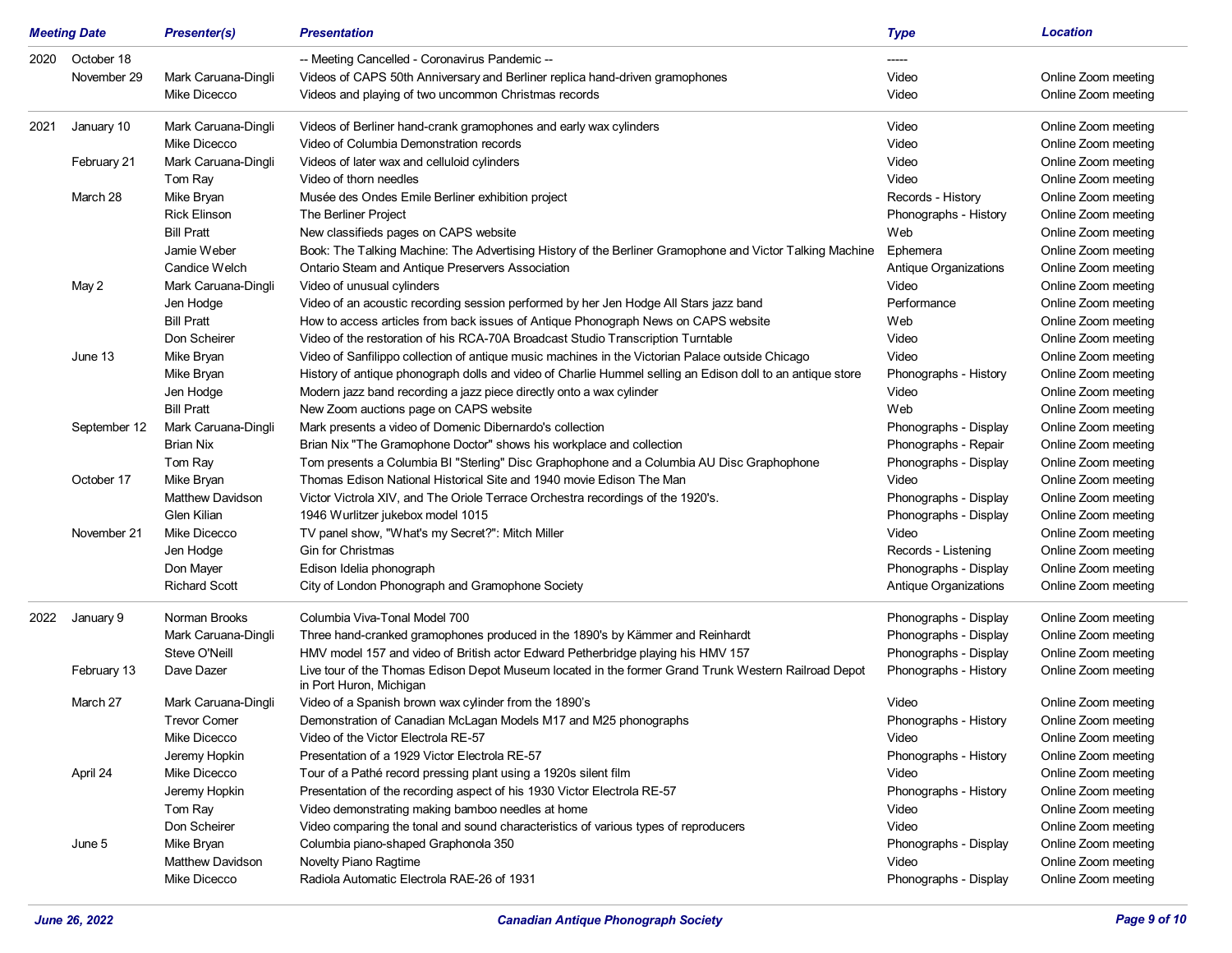|      | <b>Meeting Date</b> | <b>Presenter(s)</b>     | <b>Presentation</b>                                                                                                             | <b>Type</b>           | <b>Location</b>     |
|------|---------------------|-------------------------|---------------------------------------------------------------------------------------------------------------------------------|-----------------------|---------------------|
| 2020 | October 18          |                         | -- Meeting Cancelled - Coronavirus Pandemic --                                                                                  | -----                 |                     |
|      | November 29         | Mark Caruana-Dingli     | Videos of CAPS 50th Anniversary and Berliner replica hand-driven gramophones                                                    | Video                 | Online Zoom meeting |
|      |                     | Mike Dicecco            | Videos and playing of two uncommon Christmas records                                                                            | Video                 | Online Zoom meeting |
| 2021 | January 10          | Mark Caruana-Dingli     | Videos of Berliner hand-crank gramophones and early wax cylinders                                                               | Video                 | Online Zoom meeting |
|      |                     | Mike Dicecco            | Video of Columbia Demonstration records                                                                                         | Video                 | Online Zoom meeting |
|      | February 21         | Mark Caruana-Dingli     | Videos of later wax and celluloid cylinders                                                                                     | Video                 | Online Zoom meeting |
|      |                     | Tom Ray                 | Video of thorn needles                                                                                                          | Video                 | Online Zoom meeting |
|      | March 28            | Mike Bryan              | Musée des Ondes Emile Berliner exhibition project                                                                               | Records - History     | Online Zoom meeting |
|      |                     | <b>Rick Elinson</b>     | The Berliner Project                                                                                                            | Phonographs - History | Online Zoom meeting |
|      |                     | <b>Bill Pratt</b>       | New classifieds pages on CAPS website                                                                                           | Web                   | Online Zoom meeting |
|      |                     | Jamie Weber             | Book: The Talking Machine: The Advertising History of the Berliner Gramophone and Victor Talking Machine                        | Ephemera              | Online Zoom meeting |
|      |                     | Candice Welch           | Ontario Steam and Antique Preservers Association                                                                                | Antique Organizations | Online Zoom meeting |
|      | May 2               | Mark Caruana-Dingli     | Video of unusual cylinders                                                                                                      | Video                 | Online Zoom meeting |
|      |                     | Jen Hodge               | Video of an acoustic recording session performed by her Jen Hodge All Stars jazz band                                           | Performance           | Online Zoom meeting |
|      |                     | <b>Bill Pratt</b>       | How to access articles from back issues of Antique Phonograph News on CAPS website                                              | Web                   | Online Zoom meeting |
|      |                     | Don Scheirer            | Video of the restoration of his RCA-70A Broadcast Studio Transcription Turntable                                                | Video                 | Online Zoom meeting |
|      | June 13             | Mike Bryan              | Video of Sanfilippo collection of antique music machines in the Victorian Palace outside Chicago                                | Video                 | Online Zoom meeting |
|      |                     | Mike Bryan              | History of antique phonograph dolls and video of Charlie Hummel selling an Edison doll to an antique store                      | Phonographs - History | Online Zoom meeting |
|      |                     | Jen Hodge               | Modern jazz band recording a jazz piece directly onto a wax cylinder                                                            | Video                 | Online Zoom meeting |
|      |                     | <b>Bill Pratt</b>       | New Zoom auctions page on CAPS website                                                                                          | Web                   | Online Zoom meeting |
|      | September 12        | Mark Caruana-Dingli     | Mark presents a video of Domenic Dibernardo's collection                                                                        | Phonographs - Display | Online Zoom meeting |
|      |                     | <b>Brian Nix</b>        | Brian Nix "The Gramophone Doctor" shows his workplace and collection                                                            | Phonographs - Repair  | Online Zoom meeting |
|      |                     | Tom Ray                 | Tom presents a Columbia BI "Sterling" Disc Graphophone and a Columbia AU Disc Graphophone                                       | Phonographs - Display | Online Zoom meeting |
|      | October 17          | Mike Bryan              | Thomas Edison National Historical Site and 1940 movie Edison The Man                                                            | Video                 | Online Zoom meeting |
|      |                     | <b>Matthew Davidson</b> | Victor Victrola XIV, and The Oriole Terrace Orchestra recordings of the 1920's.                                                 | Phonographs - Display | Online Zoom meeting |
|      |                     | Glen Kilian             | 1946 Wurlitzer jukebox model 1015                                                                                               | Phonographs - Display | Online Zoom meeting |
|      | November 21         | Mike Dicecco            | TV panel show, "What's my Secret?": Mitch Miller                                                                                | Video                 | Online Zoom meeting |
|      |                     | Jen Hodge               | Gin for Christmas                                                                                                               | Records - Listening   | Online Zoom meeting |
|      |                     | Don Mayer               | Edison Idelia phonograph                                                                                                        | Phonographs - Display | Online Zoom meeting |
|      |                     | <b>Richard Scott</b>    | City of London Phonograph and Gramophone Society                                                                                | Antique Organizations | Online Zoom meeting |
| 2022 | January 9           | Norman Brooks           | Columbia Viva-Tonal Model 700                                                                                                   | Phonographs - Display | Online Zoom meeting |
|      |                     | Mark Caruana-Dingli     | Three hand-cranked gramophones produced in the 1890's by Kämmer and Reinhardt                                                   | Phonographs - Display | Online Zoom meeting |
|      |                     | Steve O'Neill           | HMV model 157 and video of British actor Edward Petherbridge playing his HMV 157                                                | Phonographs - Display | Online Zoom meeting |
|      | February 13         | Dave Dazer              | Live tour of the Thomas Edison Depot Museum located in the former Grand Trunk Western Railroad Depot<br>in Port Huron, Michigan | Phonographs - History | Online Zoom meeting |
|      | March 27            | Mark Caruana-Dingli     | Video of a Spanish brown wax cylinder from the 1890's                                                                           | Video                 | Online Zoom meeting |
|      |                     | <b>Trevor Comer</b>     | Demonstration of Canadian McLagan Models M17 and M25 phonographs                                                                | Phonographs - History | Online Zoom meeting |
|      |                     | Mike Dicecco            | Video of the Victor Electrola RE-57                                                                                             | Video                 | Online Zoom meeting |
|      |                     | Jeremy Hopkin           | Presentation of a 1929 Victor Electrola RE-57                                                                                   | Phonographs - History | Online Zoom meeting |
|      | April 24            | Mike Dicecco            | Tour of a Pathé record pressing plant using a 1920s silent film                                                                 | Video                 | Online Zoom meeting |
|      |                     | Jeremy Hopkin           | Presentation of the recording aspect of his 1930 Victor Electrola RE-57                                                         | Phonographs - History | Online Zoom meeting |
|      |                     | Tom Ray                 | Video demonstrating making bamboo needles at home                                                                               | Video                 | Online Zoom meeting |
|      |                     | Don Scheirer            | Video comparing the tonal and sound characteristics of various types of reproducers                                             | Video                 | Online Zoom meeting |
|      | June 5              | Mike Bryan              | Columbia piano-shaped Graphonola 350                                                                                            | Phonographs - Display | Online Zoom meeting |
|      |                     | Matthew Davidson        | Novelty Piano Ragtime                                                                                                           | Video                 | Online Zoom meeting |
|      |                     | Mike Dicecco            | Radiola Automatic Electrola RAE-26 of 1931                                                                                      | Phonographs - Display | Online Zoom meeting |